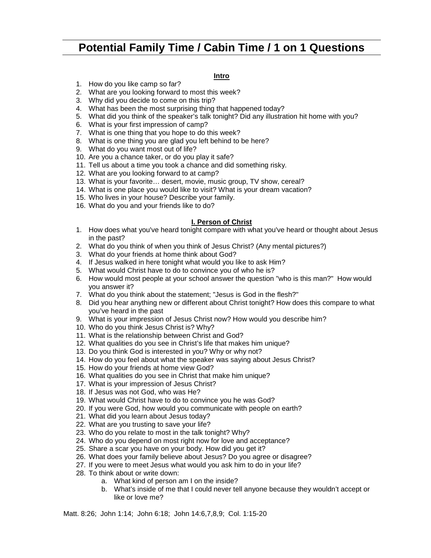# **Potential Family Time / Cabin Time / 1 on 1 Questions**

#### **Intro**

- 1. How do you like camp so far?
- 2. What are you looking forward to most this week?
- 3. Why did you decide to come on this trip?
- 4. What has been the most surprising thing that happened today?
- 5. What did you think of the speaker's talk tonight? Did any illustration hit home with you?
- 6. What is your first impression of camp?
- 7. What is one thing that you hope to do this week?
- 8. What is one thing you are glad you left behind to be here?
- 9. What do you want most out of life?
- 10. Are you a chance taker, or do you play it safe?
- 11. Tell us about a time you took a chance and did something risky.
- 12. What are you looking forward to at camp?
- 13. What is your favorite… desert, movie, music group, TV show, cereal?
- 14. What is one place you would like to visit? What is your dream vacation?
- 15. Who lives in your house? Describe your family.
- 16. What do you and your friends like to do?

#### **I. Person of Christ**

- 1. How does what you've heard tonight compare with what you've heard or thought about Jesus in the past?
- 2. What do you think of when you think of Jesus Christ? (Any mental pictures?)
- 3. What do your friends at home think about God?
- 4. If Jesus walked in here tonight what would you like to ask Him?
- 5. What would Christ have to do to convince you of who he is?
- 6. How would most people at your school answer the question "who is this man?" How would you answer it?
- 7. What do you think about the statement; "Jesus is God in the flesh?"
- 8. Did you hear anything new or different about Christ tonight? How does this compare to what you've heard in the past
- 9. What is your impression of Jesus Christ now? How would you describe him?
- 10. Who do you think Jesus Christ is? Why?
- 11. What is the relationship between Christ and God?
- 12. What qualities do you see in Christ's life that makes him unique?
- 13. Do you think God is interested in you? Why or why not?
- 14. How do you feel about what the speaker was saying about Jesus Christ?
- 15. How do your friends at home view God?
- 16. What qualities do you see in Christ that make him unique?
- 17. What is your impression of Jesus Christ?
- 18. If Jesus was not God, who was He?
- 19. What would Christ have to do to convince you he was God?
- 20. If you were God, how would you communicate with people on earth?
- 21. What did you learn about Jesus today?
- 22. What are you trusting to save your life?
- 23. Who do you relate to most in the talk tonight? Why?
- 24. Who do you depend on most right now for love and acceptance?
- 25. Share a scar you have on your body. How did you get it?
- 26. What does your family believe about Jesus? Do you agree or disagree?
- 27. If you were to meet Jesus what would you ask him to do in your life?
- 28. To think about or write down:
	- a. What kind of person am I on the inside?
	- b. What's inside of me that I could never tell anyone because they wouldn't accept or like or love me?

Matt. 8:26; John 1:14; John 6:18; John 14:6,7,8,9; Col. 1:15-20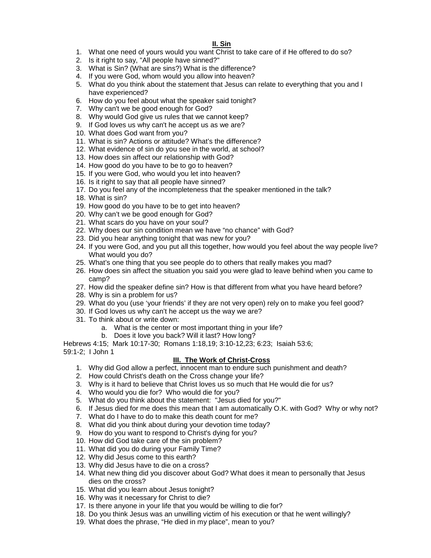#### **II. Sin**

- 1. What one need of yours would you want Christ to take care of if He offered to do so?
- 2. Is it right to say, "All people have sinned?"
- 3. What is Sin? (What are sins?) What is the difference?
- 4. If you were God, whom would you allow into heaven?
- 5. What do you think about the statement that Jesus can relate to everything that you and I have experienced?
- 6. How do you feel about what the speaker said tonight?
- 7. Why can't we be good enough for God?
- 8. Why would God give us rules that we cannot keep?
- 9. If God loves us why can't he accept us as we are?
- 10. What does God want from you?
- 11. What is sin? Actions or attitude? What's the difference?
- 12. What evidence of sin do you see in the world, at school?
- 13. How does sin affect our relationship with God?
- 14. How good do you have to be to go to heaven?
- 15. If you were God, who would you let into heaven?
- 16. Is it right to say that all people have sinned?
- 17. Do you feel any of the incompleteness that the speaker mentioned in the talk?
- 18. What is sin?
- 19. How good do you have to be to get into heaven?
- 20. Why can't we be good enough for God?
- 21. What scars do you have on your soul?
- 22. Why does our sin condition mean we have "no chance" with God?
- 23. Did you hear anything tonight that was new for you?
- 24. If you were God, and you put all this together, how would you feel about the way people live? What would you do?
- 25. What's one thing that you see people do to others that really makes you mad?
- 26. How does sin affect the situation you said you were glad to leave behind when you came to camp?
- 27. How did the speaker define sin? How is that different from what you have heard before?
- 28. Why is sin a problem for us?
- 29. What do you (use 'your friends' if they are not very open) rely on to make you feel good?
- 30. If God loves us why can't he accept us the way we are?
- 31. To think about or write down:
	- a. What is the center or most important thing in your life?
	- b. Does it love you back? Will it last? How long?

Hebrews 4:15; Mark 10:17-30; Romans 1:18,19; 3:10-12,23; 6:23; Isaiah 53:6; 59:1-2; I John 1

## **III. The Work of Christ-Cross**

- 1. Why did God allow a perfect, innocent man to endure such punishment and death?
- 2. How could Christ's death on the Cross change your life?
- 3. Why is it hard to believe that Christ loves us so much that He would die for us?
- 4. Who would you die for? Who would die for you?
- 5. What do you think about the statement: "Jesus died for you?"
- 6. If Jesus died for me does this mean that I am automatically O.K. with God? Why or why not?
- 7. What do I have to do to make this death count for me?
- 8. What did you think about during your devotion time today?
- 9. How do you want to respond to Christ's dying for you?
- 10. How did God take care of the sin problem?
- 11. What did you do during your Family Time?
- 12. Why did Jesus come to this earth?
- 13. Why did Jesus have to die on a cross?
- 14. What new thing did you discover about God? What does it mean to personally that Jesus dies on the cross?
- 15. What did you learn about Jesus tonight?
- 16. Why was it necessary for Christ to die?
- 17. Is there anyone in your life that you would be willing to die for?
- 18. Do you think Jesus was an unwilling victim of his execution or that he went willingly?
- 19. What does the phrase, "He died in my place", mean to you?